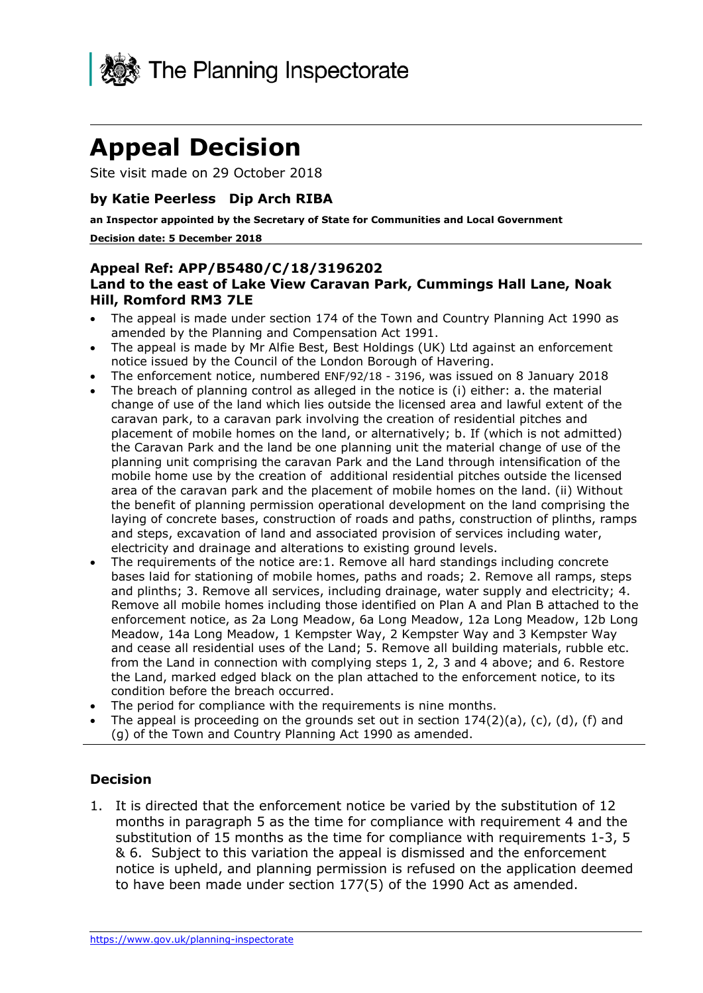

# **Appeal Decision**

Site visit made on 29 October 2018

## **by Katie Peerless Dip Arch RIBA**

 **an Inspector appointed by the Secretary of State for Communities and Local Government Decision date: 5 December 2018** 

#### **Land to the east of Lake View Caravan Park, Cummings Hall Lane, Noak Appeal Ref: APP/B5480/C/18/3196202 Hill, Romford RM3 7LE**

- The appeal is made under section 174 of the Town and Country Planning Act 1990 as amended by the Planning and Compensation Act 1991.
- The appeal is made by Mr Alfie Best, Best Holdings (UK) Ltd against an enforcement notice issued by the Council of the London Borough of Havering.
- The enforcement notice, numbered ENF/92/18 3196, was issued on 8 January 2018
- the Caravan Park and the land be one planning unit the material change of use of the planning unit comprising the caravan Park and the Land through intensification of the The breach of planning control as alleged in the notice is (i) either: a. the material change of use of the land which lies outside the licensed area and lawful extent of the caravan park, to a caravan park involving the creation of residential pitches and placement of mobile homes on the land, or alternatively; b. If (which is not admitted) mobile home use by the creation of additional residential pitches outside the licensed area of the caravan park and the placement of mobile homes on the land. (ii) Without the benefit of planning permission operational development on the land comprising the laying of concrete bases, construction of roads and paths, construction of plinths, ramps and steps, excavation of land and associated provision of services including water, electricity and drainage and alterations to existing ground levels.
- enforcement notice, as 2a Long Meadow, 6a Long Meadow, 12a Long Meadow, 12b Long The requirements of the notice are:1. Remove all hard standings including concrete bases laid for stationing of mobile homes, paths and roads; 2. Remove all ramps, steps and plinths; 3. Remove all services, including drainage, water supply and electricity; 4. Remove all mobile homes including those identified on Plan A and Plan B attached to the Meadow, 14a Long Meadow, 1 Kempster Way, 2 Kempster Way and 3 Kempster Way and cease all residential uses of the Land; 5. Remove all building materials, rubble etc. from the Land in connection with complying steps 1, 2, 3 and 4 above; and 6. Restore the Land, marked edged black on the plan attached to the enforcement notice, to its condition before the breach occurred.
- The period for compliance with the requirements is nine months.
- The appeal is proceeding on the grounds set out in section  $174(2)(a)$ , (c), (d), (f) and (g) of the Town and Country Planning Act 1990 as amended.

#### **Decision**

 months in paragraph 5 as the time for compliance with requirement 4 and the substitution of 15 months as the time for compliance with requirements 1-3, 5 & 6. Subject to this variation the appeal is dismissed and the enforcement notice is upheld, and planning permission is refused on the application deemed to have been made under section 177(5) of the 1990 Act as amended. 1. It is directed that the enforcement notice be varied by the substitution of 12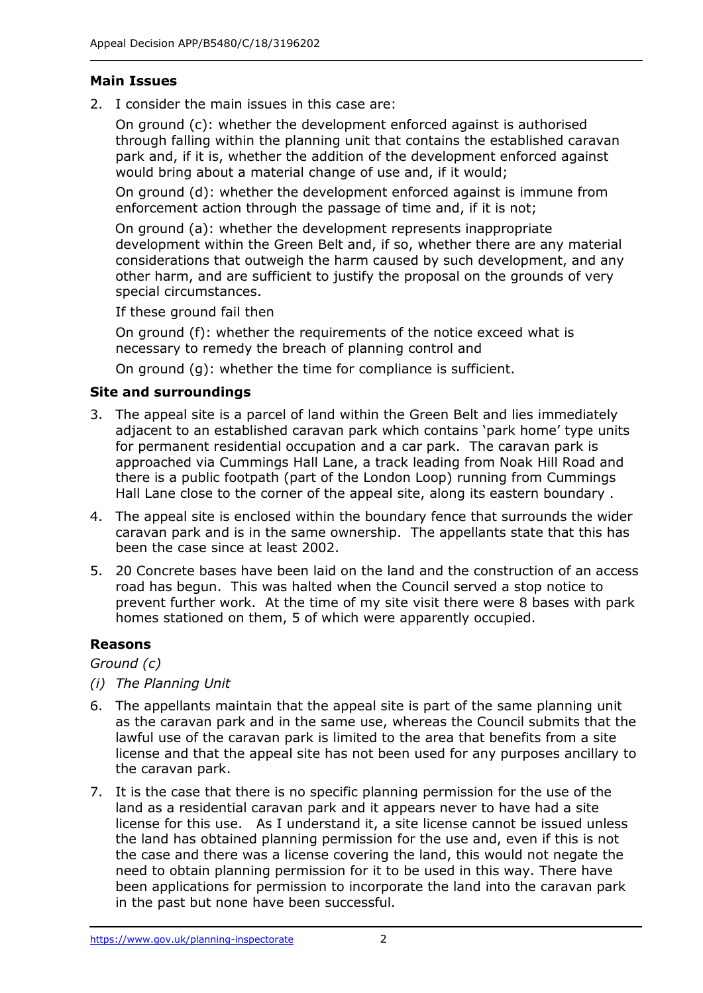## **Main Issues**

2. I consider the main issues in this case are:

 On ground (c): whether the development enforced against is authorised through falling within the planning unit that contains the established caravan park and, if it is, whether the addition of the development enforced against would bring about a material change of use and, if it would;

 On ground (d): whether the development enforced against is immune from enforcement action through the passage of time and, if it is not;

 On ground (a): whether the development represents inappropriate development within the Green Belt and, if so, whether there are any material considerations that outweigh the harm caused by such development, and any other harm, and are sufficient to justify the proposal on the grounds of very special circumstances.

special circumstances.<br>If these ground fail then

 On ground (f): whether the requirements of the notice exceed what is necessary to remedy the breach of planning control and

On ground (g): whether the time for compliance is sufficient.

## **Site and surroundings**

- 3. The appeal site is a parcel of land within the Green Belt and lies immediately adjacent to an established caravan park which contains 'park home' type units for permanent residential occupation and a car park. The caravan park is approached via Cummings Hall Lane, a track leading from Noak Hill Road and there is a public footpath (part of the London Loop) running from Cummings Hall Lane close to the corner of the appeal site, along its eastern boundary .
- caravan park and is in the same ownership. The appellants state that this has been the case since at least 2002. 4. The appeal site is enclosed within the boundary fence that surrounds the wider
- 5. 20 Concrete bases have been laid on the land and the construction of an access road has begun. This was halted when the Council served a stop notice to prevent further work. At the time of my site visit there were 8 bases with park homes stationed on them, 5 of which were apparently occupied.

#### **Reasons**

 *Ground (c)* 

- *(i) The Planning Unit*
- 6. The appellants maintain that the appeal site is part of the same planning unit as the caravan park and in the same use, whereas the Council submits that the lawful use of the caravan park is limited to the area that benefits from a site license and that the appeal site has not been used for any purposes ancillary to the caravan park.
- land as a residential caravan park and it appears never to have had a site license for this use. As I understand it, a site license cannot be issued unless the land has obtained planning permission for the use and, even if this is not the case and there was a license covering the land, this would not negate the in the past but none have been successful. 7. It is the case that there is no specific planning permission for the use of the need to obtain planning permission for it to be used in this way. There have been applications for permission to incorporate the land into the caravan park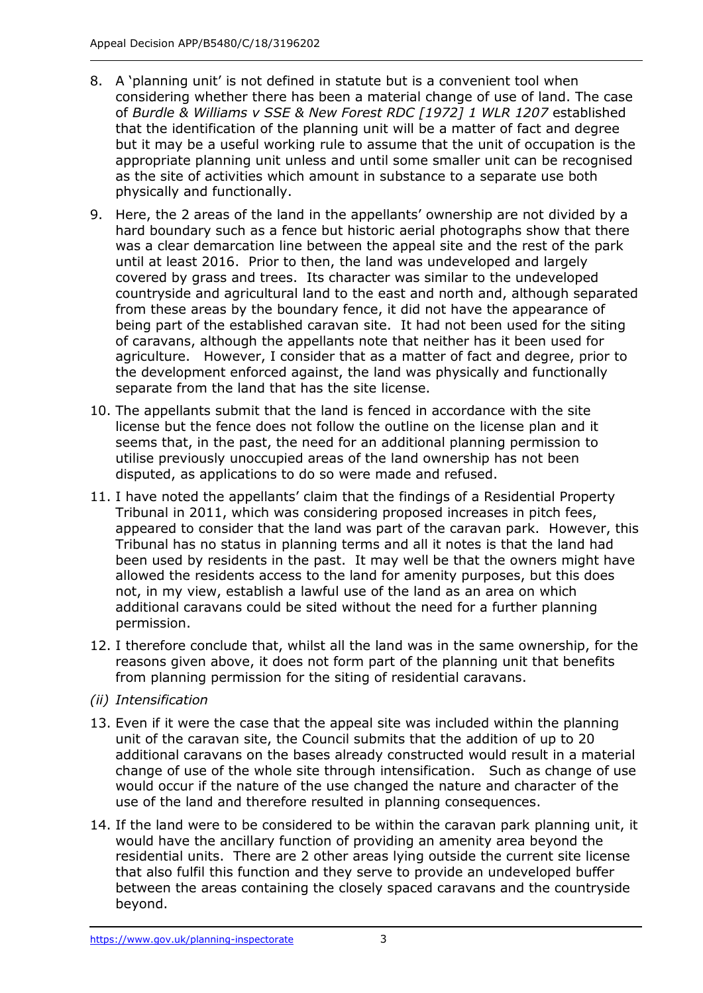- 8. A 'planning unit' is not defined in statute but is a convenient tool when considering whether there has been a material change of use of land. The case that the identification of the planning unit will be a matter of fact and degree but it may be a useful working rule to assume that the unit of occupation is the appropriate planning unit unless and until some smaller unit can be recognised as the site of activities which amount in substance to a separate use both physically and functionally. of *Burdle & Williams v SSE & New Forest RDC [1972] 1 WLR 1207* established
- 9. Here, the 2 areas of the land in the appellants' ownership are not divided by a hard boundary such as a fence but historic aerial photographs show that there was a clear demarcation line between the appeal site and the rest of the park until at least 2016. Prior to then, the land was undeveloped and largely covered by grass and trees. Its character was similar to the undeveloped countryside and agricultural land to the east and north and, although separated from these areas by the boundary fence, it did not have the appearance of being part of the established caravan site. It had not been used for the siting of caravans, although the appellants note that neither has it been used for agriculture. However, I consider that as a matter of fact and degree, prior to the development enforced against, the land was physically and functionally separate from the land that has the site license.
- seems that, in the past, the need for an additional planning permission to disputed, as applications to do so were made and refused. 10. The appellants submit that the land is fenced in accordance with the site license but the fence does not follow the outline on the license plan and it utilise previously unoccupied areas of the land ownership has not been
- 11. I have noted the appellants' claim that the findings of a Residential Property Tribunal in 2011, which was considering proposed increases in pitch fees, appeared to consider that the land was part of the caravan park. However, this Tribunal has no status in planning terms and all it notes is that the land had been used by residents in the past. It may well be that the owners might have allowed the residents access to the land for amenity purposes, but this does not, in my view, establish a lawful use of the land as an area on which additional caravans could be sited without the need for a further planning permission.
- permission.<br>12. I therefore conclude that, whilst all the land was in the same ownership, for the reasons given above, it does not form part of the planning unit that benefits from planning permission for the siting of residential caravans.
- *(ii) Intensification*
- unit of the caravan site, the Council submits that the addition of up to 20 additional caravans on the bases already constructed would result in a material change of use of the whole site through intensification. Such as change of use would occur if the nature of the use changed the nature and character of the use of the land and therefore resulted in planning consequences. 13. Even if it were the case that the appeal site was included within the planning
- beyond.<br><https://www.gov.uk/planning-inspectorate>3 14. If the land were to be considered to be within the caravan park planning unit, it residential units. There are 2 other areas lying outside the current site license that also fulfil this function and they serve to provide an undeveloped buffer between the areas containing the closely spaced caravans and the countryside beyond. would have the ancillary function of providing an amenity area beyond the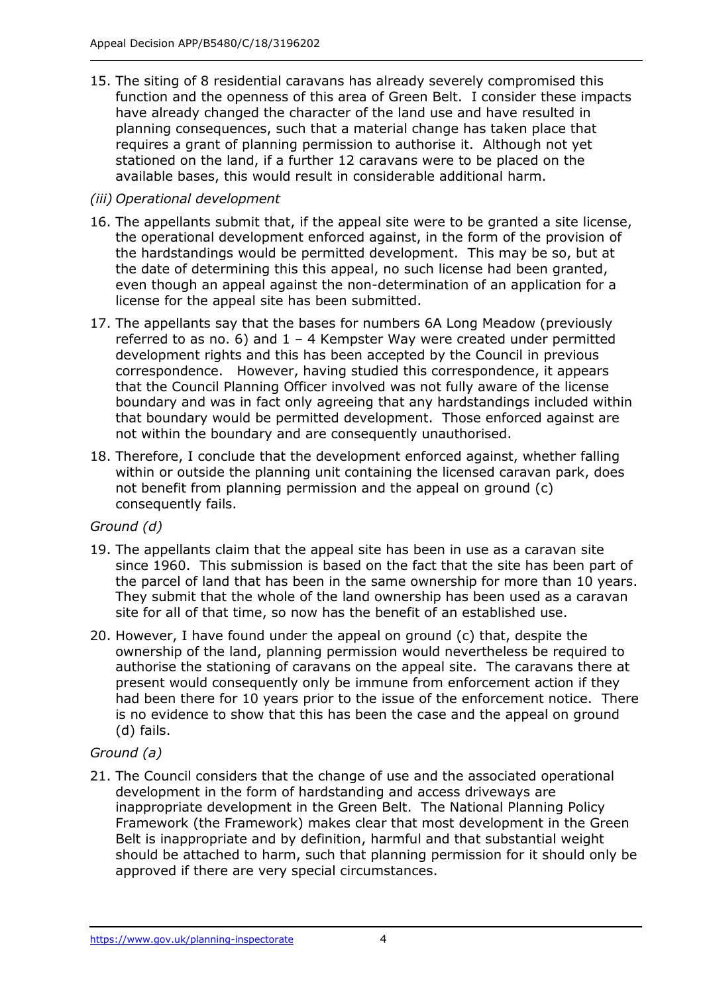15. The siting of 8 residential caravans has already severely compromised this function and the openness of this area of Green Belt. I consider these impacts have already changed the character of the land use and have resulted in planning consequences, such that a material change has taken place that requires a grant of planning permission to authorise it. Although not yet stationed on the land, if a further 12 caravans were to be placed on the available bases, this would result in considerable additional harm.

## *(iii) Operational development*

- 16. The appellants submit that, if the appeal site were to be granted a site license, the operational development enforced against, in the form of the provision of the hardstandings would be permitted development. This may be so, but at even though an appeal against the non-determination of an application for a license for the appeal site has been submitted. the date of determining this this appeal, no such license had been granted,
- license for the appeal site has been submitted. 17. The appellants say that the bases for numbers 6A Long Meadow (previously referred to as no. 6) and  $1 - 4$  Kempster Way were created under permitted development rights and this has been accepted by the Council in previous correspondence. However, having studied this correspondence, it appears that the Council Planning Officer involved was not fully aware of the license boundary and was in fact only agreeing that any hardstandings included within that boundary would be permitted development. Those enforced against are not within the boundary and are consequently unauthorised.
- not benefit from planning permission and the appeal on ground (c) consequently fails. 18. Therefore, I conclude that the development enforced against, whether falling within or outside the planning unit containing the licensed caravan park, does

#### *Ground (d)*

- since 1960. This submission is based on the fact that the site has been part of the parcel of land that has been in the same ownership for more than 10 years. They submit that the whole of the land ownership has been used as a caravan site for all of that time, so now has the benefit of an established use. 19. The appellants claim that the appeal site has been in use as a caravan site
- 20. However, I have found under the appeal on ground (c) that, despite the ownership of the land, planning permission would nevertheless be required to authorise the stationing of caravans on the appeal site. The caravans there at present would consequently only be immune from enforcement action if they had been there for 10 years prior to the issue of the enforcement notice. There is no evidence to show that this has been the case and the appeal on ground (d) fails.

# *Ground (a)*

 21. The Council considers that the change of use and the associated operational development in the form of hardstanding and access driveways are inappropriate development in the Green Belt. The National Planning Policy Belt is inappropriate and by definition, harmful and that substantial weight should be attached to harm, such that planning permission for it should only be approved if there are very special circumstances. Framework (the Framework) makes clear that most development in the Green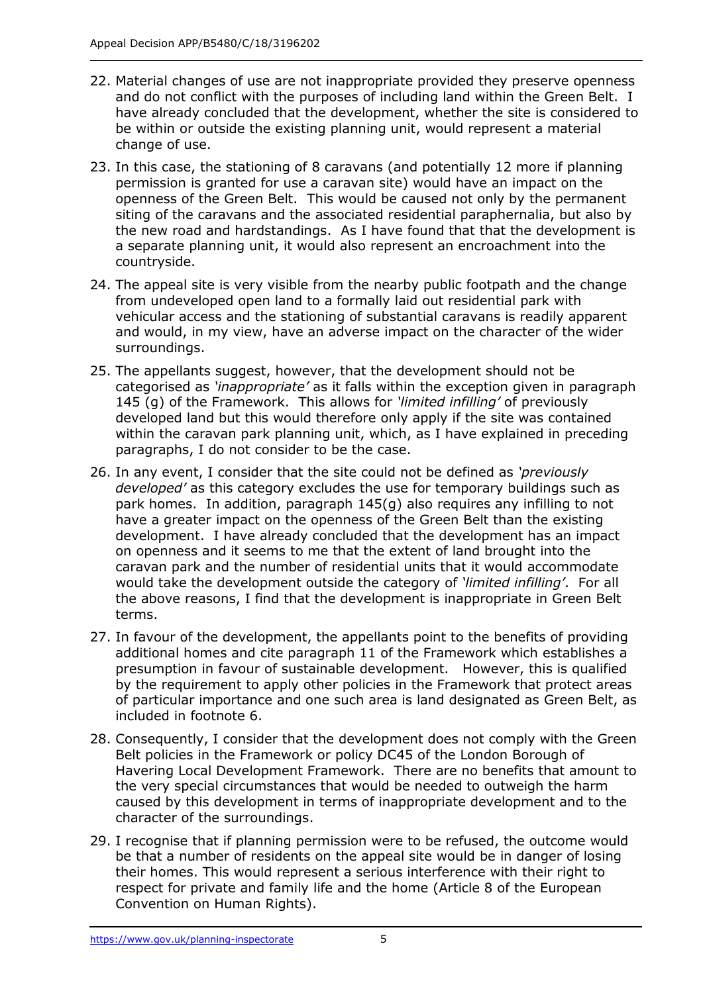- and do not conflict with the purposes of including land within the Green Belt. I be within or outside the existing planning unit, would represent a material change of use. 22. Material changes of use are not inappropriate provided they preserve openness have already concluded that the development, whether the site is considered to
- 23. In this case, the stationing of 8 caravans (and potentially 12 more if planning permission is granted for use a caravan site) would have an impact on the openness of the Green Belt. This would be caused not only by the permanent siting of the caravans and the associated residential paraphernalia, but also by the new road and hardstandings. As I have found that that the development is a separate planning unit, it would also represent an encroachment into the countryside.
- countryside. 24. The appeal site is very visible from the nearby public footpath and the change from undeveloped open land to a formally laid out residential park with vehicular access and the stationing of substantial caravans is readily apparent and would, in my view, have an adverse impact on the character of the wider surroundings.
- 25. The appellants suggest, however, that the development should not be categorised as *'inappropriate'* as it falls within the exception given in paragraph 145 (g) of the Framework. This allows for *'limited infilling'* of previously developed land but this would therefore only apply if the site was contained within the caravan park planning unit, which, as I have explained in preceding paragraphs, I do not consider to be the case.
- 26. In any event, I consider that the site could not be defined as *'previously* park homes. In addition, paragraph 145(g) also requires any infilling to not development. I have already concluded that the development has an impact on openness and it seems to me that the extent of land brought into the caravan park and the number of residential units that it would accommodate would take the development outside the category of *'limited infilling'*. For all the above reasons, I find that the development is inappropriate in Green Belt *developed'* as this category excludes the use for temporary buildings such as have a greater impact on the openness of the Green Belt than the existing terms.
- presumption in favour of sustainable development. However, this is qualified by the requirement to apply other policies in the Framework that protect areas of particular importance and one such area is land designated as Green Belt, as 27. In favour of the development, the appellants point to the benefits of providing additional homes and cite paragraph 11 of the Framework which establishes a included in footnote 6.
- 28. Consequently, I consider that the development does not comply with the Green Belt policies in the Framework or policy DC45 of the London Borough of Havering Local Development Framework. There are no benefits that amount to the very special circumstances that would be needed to outweigh the harm caused by this development in terms of inappropriate development and to the character of the surroundings.
- 29. I recognise that if planning permission were to be refused, the outcome would their homes. This would represent a serious interference with their right to respect for private and family life and the home (Article 8 of the European Convention on Human Rights).<br><https://www.gov.uk/planning-inspectorate>5 be that a number of residents on the appeal site would be in danger of losing